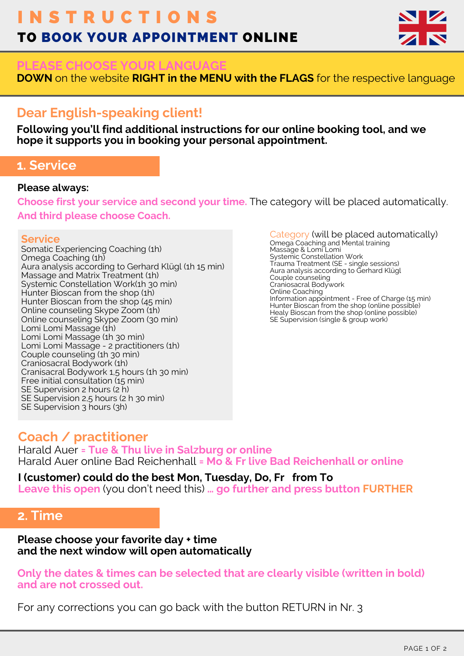# I N S T R U C T I O N S TO BOOK YOUR APPOINTMENT ONLINE



#### **PLEASE CHOOSE YOUR LANGUAGE**

**DOWN** on the website **RIGHT in the MENU with the FLAGS** for the respective language

## **Dear English-speaking client!**

**Following you'll find additional instructions for our online booking tool, and we hope it supports you in booking your personal appointment.**

### **1. Service**

#### **Please always:**

**Choose first your service and second your time.** The category will be placed automatically. **And third please choose Coach.**

#### **Service**

Somatic Experiencing Coaching (1h) Omega Coaching (1h) Aura analysis according to Gerhard Klügl (1h 15 min) Massage and Matrix Treatment (1h) Systemic Constellation Work(1h 30 min) Hunter Bioscan from the shop (1h) Hunter Bioscan from the shop (45 min) Online counseling Skype Zoom (1h) Online counseling Skype Zoom (30 min) Lomi Lomi Massage (1h) Lomi Lomi Massage (1h 30 min) Lomi Lomi Massage - 2 practitioners (1h) Couple counseling (1h 30 min) Craniosacral Bodywork (1h) Cranisacral Bodywork 1,5 hours (1h 30 min) Free initial consultation (15 min) SE Supervision 2 hours (2 h) SE Supervision 2,5 hours (2 h 30 min) SE Supervision 3 hours (3h)

Category (will be placed automatically) Omega Coaching and Mental training Massage & Lomi Lomi Systemic Constellation Work Trauma Treatment (SE - single sessions) Aura analysis according to Gerhard Klügl Couple counseling Craniosacral Bodywork Online Coaching Information appointment - Free of Charge (15 min) Hunter Bioscan from the shop (online possible) Healy Bioscan from the shop (online possible) SE Supervision (single & group work)

## **Coach / practitioner**

Harald Auer **= Tue & Thu live in Salzburg or online** Harald Auer online Bad Reichenhall **= Mo & Fr live Bad Reichenhall or online**

**I (customer) could do the best Mon, Tuesday, Do, Fr from To Leave this open** (you don't need this) **… go further and press button FURTHER**

## **2. Time**

**Please choose your favorite day + time and the next window will open automatically**

**Only the dates & times can be selected that are clearly visible (written in bold) and are not crossed out.**

For any corrections you can go back with the button RETURN in Nr. 3